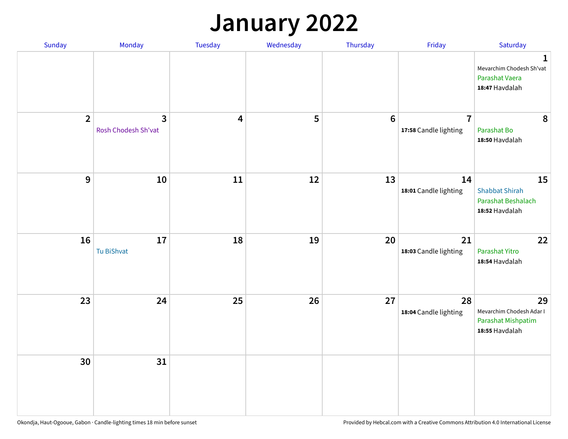## **January 2022**

| Sunday         | Monday                              | Tuesday                 | Wednesday | Thursday | Friday                                  | Saturday                                                                    |
|----------------|-------------------------------------|-------------------------|-----------|----------|-----------------------------------------|-----------------------------------------------------------------------------|
|                |                                     |                         |           |          |                                         | $\mathbf 1$<br>Mevarchim Chodesh Sh'vat<br>Parashat Vaera<br>18:47 Havdalah |
| $\overline{2}$ | $\mathbf{3}$<br>Rosh Chodesh Sh'vat | $\overline{\mathbf{4}}$ | 5         | $6\,$    | $\overline{7}$<br>17:58 Candle lighting | $\boldsymbol{8}$<br>Parashat Bo<br>18:50 Havdalah                           |
| $\mathbf{9}$   | ${\bf 10}$                          | $11\,$                  | 12        | 13       | 14<br>18:01 Candle lighting             | 15<br><b>Shabbat Shirah</b><br>Parashat Beshalach<br>18:52 Havdalah         |
| 16             | 17<br>Tu BiShvat                    | 18                      | 19        | 20       | 21<br>18:03 Candle lighting             | 22<br>Parashat Yitro<br>18:54 Havdalah                                      |
| 23             | 24                                  | 25                      | 26        | 27       | 28<br>18:04 Candle lighting             | 29<br>Mevarchim Chodesh Adar I<br>Parashat Mishpatim<br>18:55 Havdalah      |
| 30             | 31                                  |                         |           |          |                                         |                                                                             |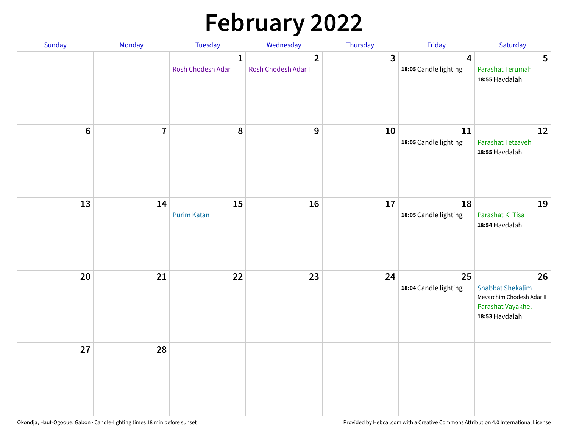# **February 2022**

| Sunday | Monday         | <b>Tuesday</b>                      | Wednesday                                      | Thursday | Friday                                           | Saturday                                                                                          |
|--------|----------------|-------------------------------------|------------------------------------------------|----------|--------------------------------------------------|---------------------------------------------------------------------------------------------------|
|        |                | $\mathbf{1}$<br>Rosh Chodesh Adar I | $\overline{\mathbf{2}}$<br>Rosh Chodesh Adar I | 3        | $\overline{\mathbf{4}}$<br>18:05 Candle lighting | 5<br>Parashat Terumah<br>18:55 Havdalah                                                           |
| $6\,$  | $\overline{7}$ | 8                                   | 9                                              | 10       | ${\bf 11}$<br>18:05 Candle lighting              | 12<br>Parashat Tetzaveh<br>18:55 Havdalah                                                         |
| 13     | 14             | 15<br><b>Purim Katan</b>            | 16                                             | 17       | 18<br>18:05 Candle lighting                      | 19<br>Parashat Ki Tisa<br>18:54 Havdalah                                                          |
| 20     | 21             | 22                                  | 23                                             | 24       | 25<br>18:04 Candle lighting                      | 26<br><b>Shabbat Shekalim</b><br>Mevarchim Chodesh Adar II<br>Parashat Vayakhel<br>18:53 Havdalah |
| 27     | 28             |                                     |                                                |          |                                                  |                                                                                                   |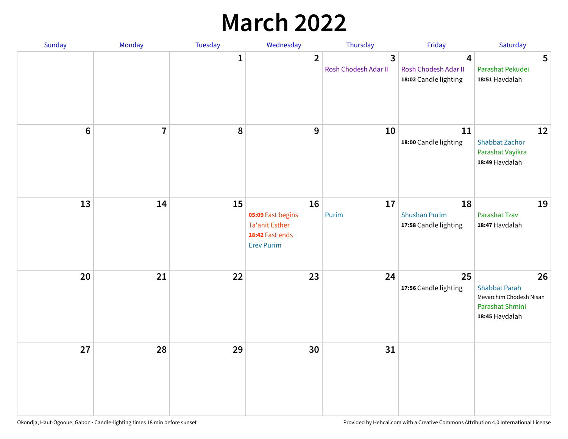## **March 2022**

| Sunday           | Monday                  | <b>Tuesday</b> | Wednesday                                                                                | Thursday                  | Friday                                                                   | Saturday                                                                                   |
|------------------|-------------------------|----------------|------------------------------------------------------------------------------------------|---------------------------|--------------------------------------------------------------------------|--------------------------------------------------------------------------------------------|
|                  |                         | $\mathbf{1}$   | $\overline{2}$                                                                           | 3<br>Rosh Chodesh Adar II | $\overline{\mathbf{4}}$<br>Rosh Chodesh Adar II<br>18:02 Candle lighting | 5<br>Parashat Pekudei<br>18:51 Havdalah                                                    |
| $\boldsymbol{6}$ | $\overline{\mathbf{r}}$ | 8              | 9                                                                                        | 10                        | 11<br>18:00 Candle lighting                                              | 12<br><b>Shabbat Zachor</b><br>Parashat Vayikra<br>18:49 Havdalah                          |
| 13               | 14                      | 15             | 16<br>05:09 Fast begins<br><b>Ta'anit Esther</b><br>18:42 Fast ends<br><b>Erev Purim</b> | 17<br>Purim               | 18<br><b>Shushan Purim</b><br>17:58 Candle lighting                      | 19<br>Parashat Tzav<br>18:47 Havdalah                                                      |
| 20               | 21                      | 22             | 23                                                                                       | 24                        | 25<br>17:56 Candle lighting                                              | 26<br><b>Shabbat Parah</b><br>Mevarchim Chodesh Nisan<br>Parashat Shmini<br>18:45 Havdalah |
| 27               | 28                      | 29             | 30                                                                                       | 31                        |                                                                          |                                                                                            |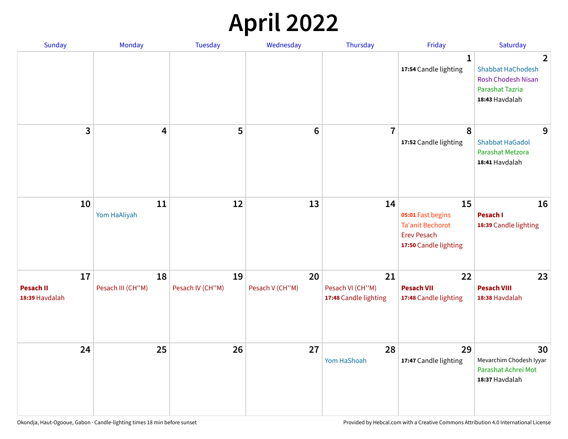## **April 2022**

| <b>Sunday</b>                            | Monday                  | <b>Tuesday</b>         | Wednesday             | Thursday                                        | Friday                                                                                            | Saturday                                                                                                                     |
|------------------------------------------|-------------------------|------------------------|-----------------------|-------------------------------------------------|---------------------------------------------------------------------------------------------------|------------------------------------------------------------------------------------------------------------------------------|
|                                          |                         |                        |                       |                                                 | $\mathbf{1}$<br>17:54 Candle lighting                                                             | $\overline{\mathbf{2}}$<br><b>Shabbat HaChodesh</b><br><b>Rosh Chodesh Nisan</b><br><b>Parashat Tazria</b><br>18:43 Havdalah |
| 3                                        | $\overline{\mathbf{4}}$ | 5                      | $6\phantom{1}6$       | $\overline{7}$                                  | 8<br>17:52 Candle lighting                                                                        | 9<br><b>Shabbat HaGadol</b><br>Parashat Metzora<br>18:41 Havdalah                                                            |
| 10                                       | 11<br>Yom HaAliyah      | 12                     | 13                    | 14                                              | 15<br>05:01 Fast begins<br><b>Ta'anit Bechorot</b><br><b>Erev Pesach</b><br>17:50 Candle lighting | 16<br>Pesach I<br>18:39 Candle lighting                                                                                      |
| 17<br><b>Pesach II</b><br>18:39 Havdalah | 18<br>Pesach III (CH"M) | 19<br>Pesach IV (CH"M) | 20<br>Pesach V (CH"M) | 21<br>Pesach VI (CH"M)<br>17:48 Candle lighting | 22<br><b>Pesach VII</b><br>17:48 Candle lighting                                                  | 23<br><b>Pesach VIII</b><br>18:38 Havdalah                                                                                   |
| 24                                       | 25                      | 26                     | 27                    | 28<br>Yom HaShoah                               | 29<br>17:47 Candle lighting                                                                       | 30<br>Mevarchim Chodesh Iyyar<br>Parashat Achrei Mot<br>18:37 Havdalah                                                       |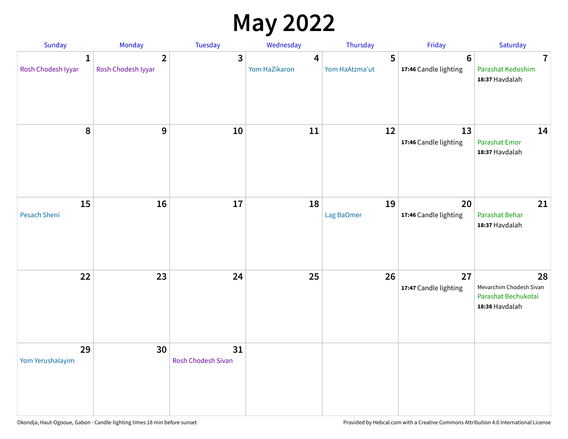## **May 2022**

| Sunday                  | Monday                               | Tuesday                         | Wednesday          | Thursday            | Friday                                  | Saturday                                                               |
|-------------------------|--------------------------------------|---------------------------------|--------------------|---------------------|-----------------------------------------|------------------------------------------------------------------------|
| 1<br>Rosh Chodesh Iyyar | $\overline{2}$<br>Rosh Chodesh Iyyar | 3                               | 4<br>Yom HaZikaron | 5<br>Yom HaAtzma'ut | $6\phantom{1}$<br>17:46 Candle lighting | $\overline{7}$<br>Parashat Kedoshim<br>18:37 Havdalah                  |
| $\pmb{8}$               | $\mathbf{9}$                         | 10                              | 11                 | 12                  | 13<br>17:46 Candle lighting             | 14<br><b>Parashat Emor</b><br>18:37 Havdalah                           |
| 15<br>Pesach Sheni      | 16                                   | 17                              | 18                 | 19<br>Lag BaOmer    | 20<br>17:46 Candle lighting             | 21<br>Parashat Behar<br>18:37 Havdalah                                 |
| 22                      | 23                                   | 24                              | 25                 | 26                  | 27<br>17:47 Candle lighting             | 28<br>Mevarchim Chodesh Sivan<br>Parashat Bechukotai<br>18:38 Havdalah |
| 29<br>Yom Yerushalayim  | 30                                   | 31<br><b>Rosh Chodesh Sivan</b> |                    |                     |                                         |                                                                        |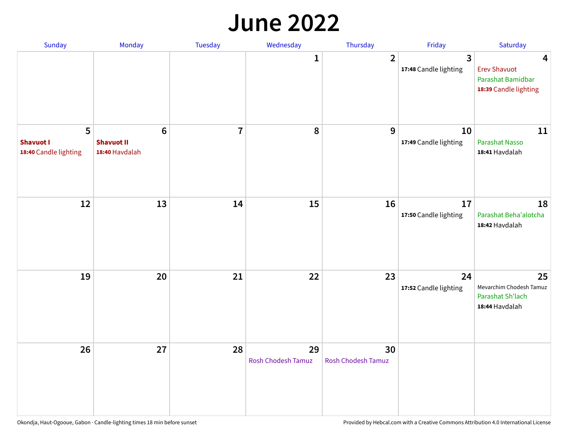#### **June 2022**

| Sunday                                         | Monday                                                | Tuesday        | Wednesday                       | Thursday                        | Friday                      | Saturday                                                               |
|------------------------------------------------|-------------------------------------------------------|----------------|---------------------------------|---------------------------------|-----------------------------|------------------------------------------------------------------------|
|                                                |                                                       |                | 1                               | $\overline{2}$                  | 3<br>17:48 Candle lighting  | 4<br><b>Erev Shavuot</b><br>Parashat Bamidbar<br>18:39 Candle lighting |
| 5<br><b>Shavuot I</b><br>18:40 Candle lighting | $6\phantom{1}$<br><b>Shavuot II</b><br>18:40 Havdalah | $\overline{7}$ | 8                               | 9                               | 10<br>17:49 Candle lighting | 11<br><b>Parashat Nasso</b><br>18:41 Havdalah                          |
| 12                                             | 13                                                    | 14             | 15                              | 16                              | 17<br>17:50 Candle lighting | 18<br>Parashat Beha'alotcha<br>18:42 Havdalah                          |
| 19                                             | 20                                                    | 21             | 22                              | 23                              | 24<br>17:52 Candle lighting | 25<br>Mevarchim Chodesh Tamuz<br>Parashat Sh'lach<br>18:44 Havdalah    |
| 26                                             | 27                                                    | 28             | 29<br><b>Rosh Chodesh Tamuz</b> | 30<br><b>Rosh Chodesh Tamuz</b> |                             |                                                                        |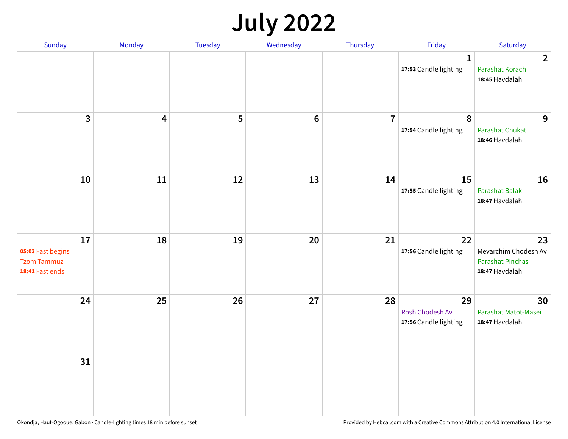## **July 2022**

| Sunday                                                           | Monday                  | Tuesday | Wednesday | Thursday       | Friday                                         | Saturday                                                                |
|------------------------------------------------------------------|-------------------------|---------|-----------|----------------|------------------------------------------------|-------------------------------------------------------------------------|
|                                                                  |                         |         |           |                | $\mathbf{1}$<br>17:53 Candle lighting          | $\overline{2}$<br>Parashat Korach<br>18:45 Havdalah                     |
| $\mathbf{3}$                                                     | $\overline{\mathbf{4}}$ | 5       | $\bf 6$   | $\overline{7}$ | $\boldsymbol{8}$<br>17:54 Candle lighting      | 9<br><b>Parashat Chukat</b><br>18:46 Havdalah                           |
| 10                                                               | 11                      | 12      | 13        | 14             | 15<br>17:55 Candle lighting                    | 16<br><b>Parashat Balak</b><br>18:47 Havdalah                           |
| 17<br>05:03 Fast begins<br><b>Tzom Tammuz</b><br>18:41 Fast ends | 18                      | 19      | 20        | 21             | 22<br>17:56 Candle lighting                    | 23<br>Mevarchim Chodesh Av<br><b>Parashat Pinchas</b><br>18:47 Havdalah |
| 24                                                               | 25                      | 26      | 27        | 28             | 29<br>Rosh Chodesh Av<br>17:56 Candle lighting | 30<br>Parashat Matot-Masei<br>18:47 Havdalah                            |
| 31                                                               |                         |         |           |                |                                                |                                                                         |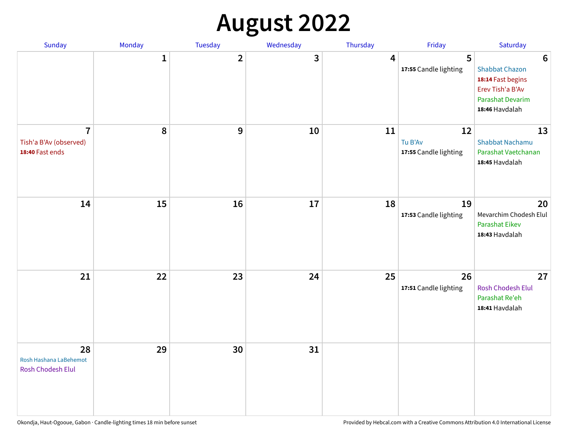## **August 2022**

| Sunday                                                      | Monday       | Tuesday      | Wednesday | Thursday | Friday                                 | Saturday                                                                                                                       |
|-------------------------------------------------------------|--------------|--------------|-----------|----------|----------------------------------------|--------------------------------------------------------------------------------------------------------------------------------|
|                                                             | $\mathbf{1}$ | $\mathbf{2}$ | 3         | 4        | 5<br>17:55 Candle lighting             | $6\phantom{1}6$<br><b>Shabbat Chazon</b><br>18:14 Fast begins<br>Erev Tish'a B'Av<br><b>Parashat Devarim</b><br>18:46 Havdalah |
| $\overline{7}$<br>Tish'a B'Av (observed)<br>18:40 Fast ends | 8            | 9            | 10        | 11       | 12<br>Tu B'Av<br>17:55 Candle lighting | 13<br><b>Shabbat Nachamu</b><br>Parashat Vaetchanan<br>18:45 Havdalah                                                          |
| 14                                                          | 15           | 16           | 17        | 18       | 19<br>17:53 Candle lighting            | 20<br>Mevarchim Chodesh Elul<br>Parashat Eikev<br>18:43 Havdalah                                                               |
| 21                                                          | 22           | 23           | 24        | 25       | 26<br>17:51 Candle lighting            | 27<br><b>Rosh Chodesh Elul</b><br>Parashat Re'eh<br>18:41 Havdalah                                                             |
| 28<br>Rosh Hashana LaBehemot<br>Rosh Chodesh Elul           | 29           | 30           | 31        |          |                                        |                                                                                                                                |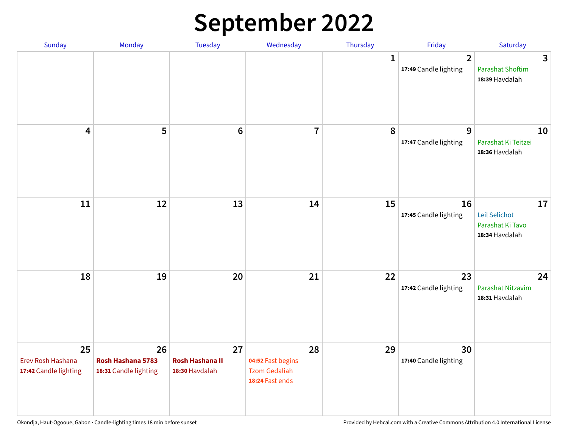## **September 2022**

| Sunday                                           | Monday                                           | Tuesday                                        | Wednesday                                                          | Thursday     | Friday                                  | Saturday                                                  |
|--------------------------------------------------|--------------------------------------------------|------------------------------------------------|--------------------------------------------------------------------|--------------|-----------------------------------------|-----------------------------------------------------------|
|                                                  |                                                  |                                                |                                                                    | $\mathbf{1}$ | $\overline{2}$<br>17:49 Candle lighting | 3<br><b>Parashat Shoftim</b><br>18:39 Havdalah            |
| $\overline{\mathbf{4}}$                          | 5                                                | $6\phantom{1}6$                                | $\overline{7}$                                                     | 8            | 9<br>17:47 Candle lighting              | 10<br>Parashat Ki Teitzei<br>18:36 Havdalah               |
| 11                                               | 12                                               | 13                                             | 14                                                                 | 15           | 16<br>17:45 Candle lighting             | 17<br>Leil Selichot<br>Parashat Ki Tavo<br>18:34 Havdalah |
| 18                                               | 19                                               | 20                                             | 21                                                                 | 22           | 23<br>17:42 Candle lighting             | 24<br>Parashat Nitzavim<br>18:31 Havdalah                 |
| 25<br>Erev Rosh Hashana<br>17:42 Candle lighting | 26<br>Rosh Hashana 5783<br>18:31 Candle lighting | 27<br><b>Rosh Hashana II</b><br>18:30 Havdalah | 28<br>04:52 Fast begins<br><b>Tzom Gedaliah</b><br>18:24 Fast ends | 29           | 30<br>17:40 Candle lighting             |                                                           |

Okondja, Haut-Ogooue, Gabon · Candle-lighting times 18 min before sunset **Provided by Hebcal.com with a Creative Commons Attribution 4.0 International License**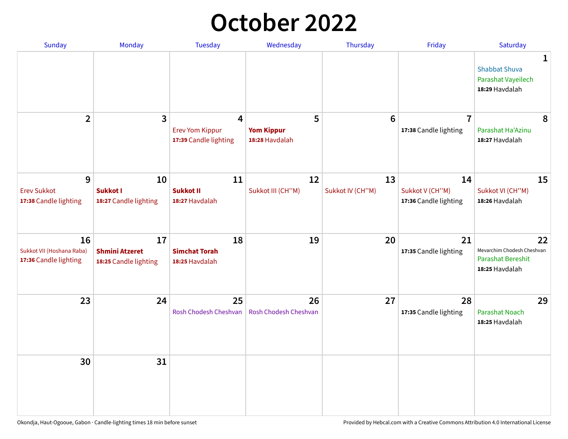## **October 2022**

| Sunday                                                   | <b>Monday</b>                                        | <b>Tuesday</b>                                                    | Wednesday                                | Thursday               | Friday                                         | Saturday                                                                       |
|----------------------------------------------------------|------------------------------------------------------|-------------------------------------------------------------------|------------------------------------------|------------------------|------------------------------------------------|--------------------------------------------------------------------------------|
|                                                          |                                                      |                                                                   |                                          |                        |                                                | $\mathbf 1$<br><b>Shabbat Shuva</b><br>Parashat Vayeilech<br>18:29 Havdalah    |
| $\overline{2}$                                           | $\mathbf{3}$                                         | $\overline{4}$<br><b>Erev Yom Kippur</b><br>17:39 Candle lighting | 5<br><b>Yom Kippur</b><br>18:28 Havdalah | 6                      | $\overline{7}$<br>17:38 Candle lighting        | 8<br>Parashat Ha'Azinu<br>18:27 Havdalah                                       |
| 9<br><b>Erev Sukkot</b><br>17:38 Candle lighting         | 10<br><b>Sukkot I</b><br>18:27 Candle lighting       | 11<br><b>Sukkot II</b><br>18:27 Havdalah                          | 12<br>Sukkot III (CH"M)                  | 13<br>Sukkot IV (CH"M) | 14<br>Sukkot V (CH"M)<br>17:36 Candle lighting | 15<br>Sukkot VI (CH"M)<br>18:26 Havdalah                                       |
| 16<br>Sukkot VII (Hoshana Raba)<br>17:36 Candle lighting | 17<br><b>Shmini Atzeret</b><br>18:25 Candle lighting | 18<br><b>Simchat Torah</b><br>18:25 Havdalah                      | 19                                       | 20                     | 21<br>17:35 Candle lighting                    | 22<br>Mevarchim Chodesh Cheshvan<br><b>Parashat Bereshit</b><br>18:25 Havdalah |
| 23                                                       | 24                                                   | 25<br>Rosh Chodesh Cheshvan                                       | 26<br>Rosh Chodesh Cheshvan              | 27                     | 28<br>17:35 Candle lighting                    | 29<br>Parashat Noach<br>18:25 Havdalah                                         |
| 30                                                       | 31                                                   |                                                                   |                                          |                        |                                                |                                                                                |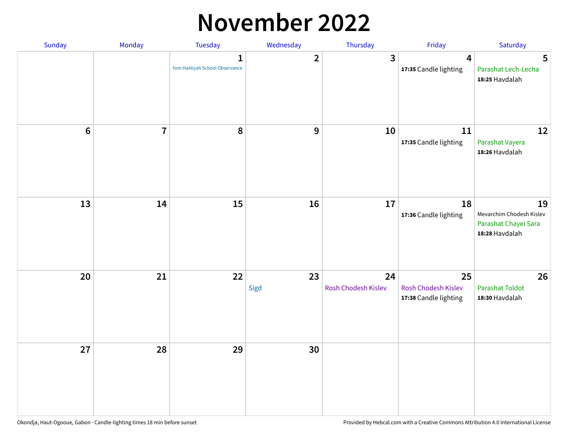### **November 2022**

| Sunday         | Monday         | <b>Tuesday</b>                                 | Wednesday        | Thursday                  | Friday                                             | Saturday                                                                 |
|----------------|----------------|------------------------------------------------|------------------|---------------------------|----------------------------------------------------|--------------------------------------------------------------------------|
|                |                | $\mathbf{1}$<br>Yom HaAliyah School Observance | $\mathbf{2}$     | $\mathbf{3}$              | $\overline{\mathbf{4}}$<br>17:35 Candle lighting   | 5<br>Parashat Lech-Lecha<br>18:25 Havdalah                               |
| $6\phantom{1}$ | $\overline{7}$ | 8                                              | $\boldsymbol{9}$ | 10                        | 11<br>17:35 Candle lighting                        | 12<br>Parashat Vayera<br>18:26 Havdalah                                  |
| 13             | 14             | 15                                             | 16               | 17                        | 18<br>17:36 Candle lighting                        | 19<br>Mevarchim Chodesh Kislev<br>Parashat Chayei Sara<br>18:28 Havdalah |
| 20             | 21             | 22                                             | 23<br>Sigd       | 24<br>Rosh Chodesh Kislev | 25<br>Rosh Chodesh Kislev<br>17:38 Candle lighting | 26<br>Parashat Toldot<br>18:30 Havdalah                                  |
| 27             | 28             | 29                                             | 30               |                           |                                                    |                                                                          |